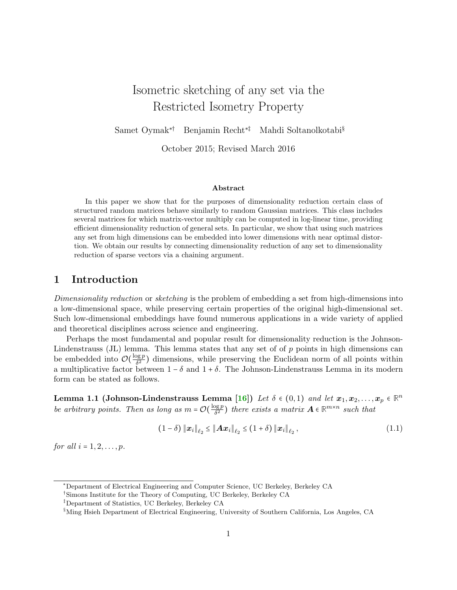# <span id="page-0-0"></span>Isometric sketching of any set via the Restricted Isometry Property

Samet Oymak∗† Benjamin Recht∗‡ Mahdi Soltanolkotabi§

October 2015; Revised March 2016

#### Abstract

In this paper we show that for the purposes of dimensionality reduction certain class of structured random matrices behave similarly to random Gaussian matrices. This class includes several matrices for which matrix-vector multiply can be computed in log-linear time, providing efficient dimensionality reduction of general sets. In particular, we show that using such matrices any set from high dimensions can be embedded into lower dimensions with near optimal distortion. We obtain our results by connecting dimensionality reduction of any set to dimensionality reduction of sparse vectors via a chaining argument.

# 1 Introduction

Dimensionality reduction or sketching is the problem of embedding a set from high-dimensions into a low-dimensional space, while preserving certain properties of the original high-dimensional set. Such low-dimensional embeddings have found numerous applications in a wide variety of applied and theoretical disciplines across science and engineering.

Perhaps the most fundamental and popular result for dimensionality reduction is the Johnson-Lindenstrauss  $J(L)$  lemma. This lemma states that any set of of p points in high dimensions can be embedded into  $\mathcal{O}(\frac{\log p}{\delta^2})$  $\frac{\partial g p}{\partial q}$  dimensions, while preserving the Euclidean norm of all points within a multiplicative factor between  $1 - \delta$  and  $1 + \delta$ . The Johnson-Lindenstrauss Lemma in its modern form can be stated as follows.

<span id="page-0-1"></span>Lemma 1.1 (Johnson-Lindenstrauss Lemma [\[16\]](#page-17-0)) Let  $\delta \in (0,1)$  and let  $x_1, x_2, \ldots, x_p \in \mathbb{R}^n$ be arbitrary points. Then as long as  $m = \mathcal{O}(\frac{\log p}{\delta^2})$  $\frac{\log p}{\delta^2}$ ) there exists a matrix  $\mathbf{A} \in \mathbb{R}^{m \times n}$  such that

$$
(1-\delta) \left\| \boldsymbol{x}_i \right\|_{\ell_2} \leq \left\| \boldsymbol{A} \boldsymbol{x}_i \right\|_{\ell_2} \leq (1+\delta) \left\| \boldsymbol{x}_i \right\|_{\ell_2}, \tag{1.1}
$$

for all  $i = 1, 2, \ldots, p$ .

<sup>∗</sup>Department of Electrical Engineering and Computer Science, UC Berkeley, Berkeley CA

<sup>†</sup> Simons Institute for the Theory of Computing, UC Berkeley, Berkeley CA

<sup>‡</sup>Department of Statistics, UC Berkeley, Berkeley CA

<sup>§</sup>Ming Hsieh Department of Electrical Engineering, University of Southern California, Los Angeles, CA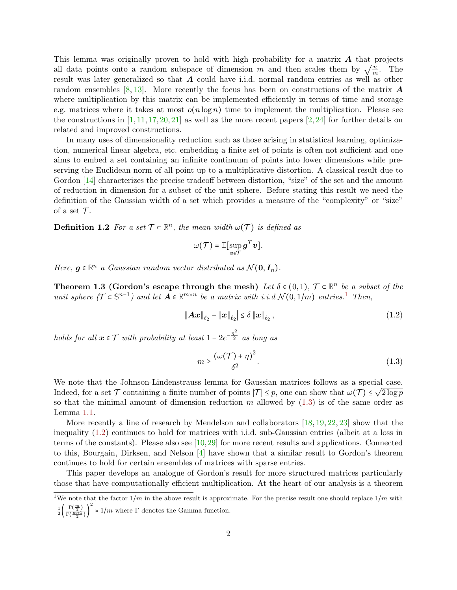This lemma was originally proven to hold with high probability for a matrix  $\boldsymbol{A}$  that projects all data points onto a random subspace of dimension m and then scales them by  $\sqrt{\frac{n}{m}}$ . The result was later generalized so that A could have i.i.d. normal random entries as well as other random ensembles  $[8, 13]$  $[8, 13]$  $[8, 13]$ . More recently the focus has been on constructions of the matrix  $\boldsymbol{A}$ where multiplication by this matrix can be implemented efficiently in terms of time and storage e.g. matrices where it takes at most  $o(n \log n)$  time to implement the multiplication. Please see the constructions in  $[1, 11, 17, 20, 21]$  $[1, 11, 17, 20, 21]$  $[1, 11, 17, 20, 21]$  $[1, 11, 17, 20, 21]$  $[1, 11, 17, 20, 21]$  $[1, 11, 17, 20, 21]$  $[1, 11, 17, 20, 21]$  $[1, 11, 17, 20, 21]$  $[1, 11, 17, 20, 21]$  as well as the more recent papers  $[2, 24]$  $[2, 24]$  $[2, 24]$  for further details on related and improved constructions.

In many uses of dimensionality reduction such as those arising in statistical learning, optimization, numerical linear algebra, etc. embedding a finite set of points is often not sufficient and one aims to embed a set containing an infinite continuum of points into lower dimensions while preserving the Euclidean norm of all point up to a multiplicative distortion. A classical result due to Gordon [\[14\]](#page-17-7) characterizes the precise tradeoff between distortion, "size" of the set and the amount of reduction in dimension for a subset of the unit sphere. Before stating this result we need the definition of the Gaussian width of a set which provides a measure of the "complexity" or "size" of a set  $\mathcal T$ .

**Definition 1.2** For a set  $\mathcal{T} \subset \mathbb{R}^n$ , the mean width  $\omega(\mathcal{T})$  is defined as

$$
\omega(\mathcal{T}) = \mathbb{E}[\sup_{\bm{v}\in\mathcal{T}} \bm{g}^T\bm{v}].
$$

Here,  $g \in \mathbb{R}^n$  a Gaussian random vector distributed as  $\mathcal{N}(\mathbf{0}, \mathbf{I}_n)$ .

**Theorem 1.3 (Gordon's escape through the mesh)** Let  $\delta \in (0,1)$ ,  $\mathcal{T} \subset \mathbb{R}^n$  be a subset of the unit sphere  $(\mathcal{T} \subset \mathbb{S}^{n-1})$  $(\mathcal{T} \subset \mathbb{S}^{n-1})$  $(\mathcal{T} \subset \mathbb{S}^{n-1})$  and let  $\mathbf{A} \in \mathbb{R}^{m \times n}$  be a matrix with i.i.d  $\mathcal{N}(0, 1/m)$  entries.<sup>1</sup> Then,

$$
\left| \|A\boldsymbol{x}\|_{\ell_2} - \|\boldsymbol{x}\|_{\ell_2} \right| \le \delta \left\| \boldsymbol{x} \right\|_{\ell_2},\tag{1.2}
$$

holds for all  $x \in \mathcal{T}$  with probability at least  $1 - 2e^{-\frac{\eta^2}{2}}$  as long as

<span id="page-1-1"></span><span id="page-1-0"></span>
$$
m \ge \frac{\left(\omega(\mathcal{T}) + \eta\right)^2}{\delta^2}.\tag{1.3}
$$

We note that the Johnson-Lindenstrauss lemma for Gaussian matrices follows as a special case. Indeed, for a set T containing a finite number of points  $|T| \leq p$ , one can show that  $\omega(T) \leq \sqrt{2 \log p}$ so that the minimal amount of dimension reduction m allowed by  $(1.3)$  is of the same order as Lemma [1.1.](#page-0-1)

More recently a line of research by Mendelson and collaborators [\[18,](#page-17-8) [19,](#page-17-9) [22,](#page-17-10) [23\]](#page-17-11) show that the inequality [\(1.2\)](#page-1-1) continues to hold for matrices with i.i.d. sub-Gaussian entries (albeit at a loss in terms of the constants). Please also see  $[10,29]$  $[10,29]$  for more recent results and applications. Connected to this, Bourgain, Dirksen, and Nelson [\[4\]](#page-16-3) have shown that a similar result to Gordon's theorem continues to hold for certain ensembles of matrices with sparse entries.

This paper develops an analogue of Gordon's result for more structured matrices particularly those that have computationally efficient multiplication. At the heart of our analysis is a theorem

<sup>&</sup>lt;sup>1</sup>We note that the factor  $1/m$  in the above result is approximate. For the precise result one should replace  $1/m$  with  $\frac{1}{2} \bigg( \frac{\Gamma(\frac{m}{2})}{\Gamma(\frac{m+1}{2})} \bigg)$  $\frac{2}{\infty}$  ≈ 1/*m* where  $\Gamma$  denotes the Gamma function.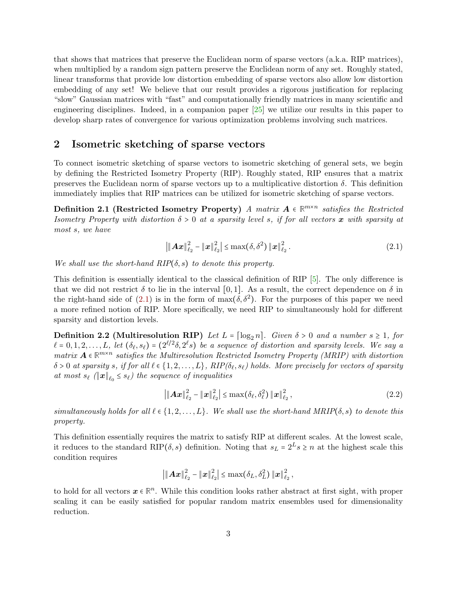that shows that matrices that preserve the Euclidean norm of sparse vectors (a.k.a. RIP matrices), when multiplied by a random sign pattern preserve the Euclidean norm of any set. Roughly stated, linear transforms that provide low distortion embedding of sparse vectors also allow low distortion embedding of any set! We believe that our result provides a rigorous justification for replacing "slow" Gaussian matrices with "fast" and computationally friendly matrices in many scientific and engineering disciplines. Indeed, in a companion paper [\[25\]](#page-17-13) we utilize our results in this paper to develop sharp rates of convergence for various optimization problems involving such matrices.

## 2 Isometric sketching of sparse vectors

To connect isometric sketching of sparse vectors to isometric sketching of general sets, we begin by defining the Restricted Isometry Property (RIP). Roughly stated, RIP ensures that a matrix preserves the Euclidean norm of sparse vectors up to a multiplicative distortion  $\delta$ . This definition immediately implies that RIP matrices can be utilized for isometric sketching of sparse vectors.

Definition 2.1 (Restricted Isometry Property) A matrix  $A \in \mathbb{R}^{m \times n}$  satisfies the Restricted Isometry Property with distortion  $\delta > 0$  at a sparsity level s, if for all vectors x with sparsity at most s, we have

<span id="page-2-0"></span>
$$
\left| \|\mathbf{A}\mathbf{x}\|_{\ell_2}^2 - \|\mathbf{x}\|_{\ell_2}^2 \right| \leq \max(\delta, \delta^2) \left\| \mathbf{x} \right\|_{\ell_2}^2. \tag{2.1}
$$

We shall use the short-hand  $RIP(\delta, s)$  to denote this property.

This definition is essentially identical to the classical definition of RIP [\[5\]](#page-16-4). The only difference is that we did not restrict  $\delta$  to lie in the interval [0,1]. As a result, the correct dependence on  $\delta$  in the right-hand side of [\(2.1\)](#page-2-0) is in the form of  $\max(\delta, \delta^2)$ . For the purposes of this paper we need a more refined notion of RIP. More specifically, we need RIP to simultaneously hold for different sparsity and distortion levels.

**Definition 2.2 (Multiresolution RIP)** Let  $L = \lceil \log_2 n \rceil$ . Given  $\delta > 0$  and a number  $s \geq 1$ , for  $\ell = 0, 1, 2, \ldots, L$ , let  $(\delta_{\ell}, s_{\ell}) = (2^{\ell/2} \delta, 2^{\ell} s)$  be a sequence of distortion and sparsity levels. We say a  $matrix \, A \in \mathbb{R}^{m \times n}$  satisfies the Multiresolution Restricted Isometry Property (MRIP) with distortion  $\delta > 0$  at sparsity s, if for all  $\ell \in \{1, 2, \ldots, L\}$ ,  $RIP(\delta_\ell, s_\ell)$  holds. More precisely for vectors of sparsity at most  $s_\ell$  ( $||\boldsymbol{x}||_{\ell_0} \leq s_\ell$ ) the sequence of inequalities

$$
\left| \|\mathbf{A}\mathbf{x}\|_{\ell_2}^2 - \|\mathbf{x}\|_{\ell_2}^2 \right| \leq \max(\delta_\ell, \delta_\ell^2) \left\| \mathbf{x} \right\|_{\ell_2}^2, \tag{2.2}
$$

simultaneously holds for all  $\ell \in \{1, 2, ..., L\}$ . We shall use the short-hand MRIP( $\delta$ , s) to denote this property.

This definition essentially requires the matrix to satisfy RIP at different scales. At the lowest scale, it reduces to the standard RIP( $\delta$ , s) definition. Noting that  $s_L = 2^L s \ge n$  at the highest scale this condition requires

$$
\left|\left\|\boldsymbol{A}\boldsymbol{x}\right\|^{2}_{\ell_{2}}-\left\|\boldsymbol{x}\right\|^{2}_{\ell_{2}}\right|\leq\max(\delta_{L},\delta_{L}^{2})\left\|\boldsymbol{x}\right\|^{2}_{\ell_{2}},
$$

to hold for all vectors  $x \in \mathbb{R}^n$ . While this condition looks rather abstract at first sight, with proper scaling it can be easily satisfied for popular random matrix ensembles used for dimensionality reduction.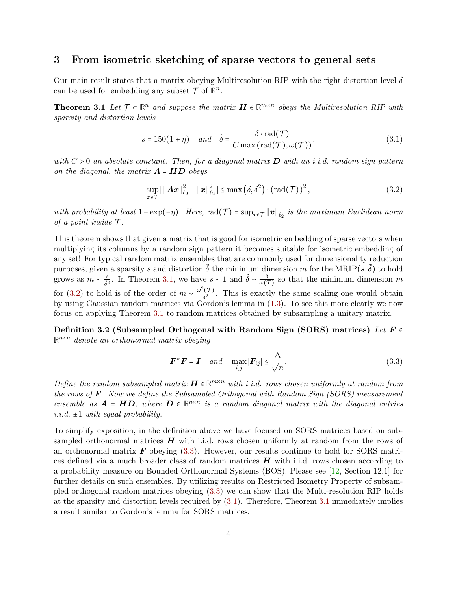## 3 From isometric sketching of sparse vectors to general sets

Our main result states that a matrix obeying Multiresolution RIP with the right distortion level  $\delta$ can be used for embedding any subset  $\mathcal{T}$  of  $\mathbb{R}^n$ .

**Theorem 3.1** Let  $\mathcal{T} \subset \mathbb{R}^n$  and suppose the matrix  $\mathbf{H} \in \mathbb{R}^{m \times n}$  obeys the Multiresolution RIP with sparsity and distortion levels

<span id="page-3-3"></span><span id="page-3-0"></span>
$$
s = 150(1+\eta) \quad and \quad \tilde{\delta} = \frac{\delta \cdot \text{rad}(\mathcal{T})}{C \max(\text{rad}(\mathcal{T}), \omega(\mathcal{T}))},\tag{3.1}
$$

with  $C > 0$  an absolute constant. Then, for a diagonal matrix  $D$  with an i.i.d. random sign pattern on the diagonal, the matrix  $\mathbf{A} = \mathbf{HD}$  obeys

<span id="page-3-1"></span>
$$
\sup_{\boldsymbol{x}\in\mathcal{T}}\|\boldsymbol{A}\boldsymbol{x}\|_{\ell_2}^2-\|\boldsymbol{x}\|_{\ell_2}^2\|\leq \max\left(\delta,\delta^2\right)\cdot\left(\mathrm{rad}(\mathcal{T})\right)^2,\tag{3.2}
$$

with probability at least  $1 - \exp(-\eta)$ . Here,  $\text{rad}(\mathcal{T}) = \sup_{v \in \mathcal{T}} ||v||_{\ell_2}$  is the maximum Euclidean norm of a point inside  $\mathcal T$ .

This theorem shows that given a matrix that is good for isometric embedding of sparse vectors when multiplying its columns by a random sign pattern it becomes suitable for isometric embedding of any set! For typical random matrix ensembles that are commonly used for dimensionality reduction purposes, given a sparsity s and distortion  $\delta$  the minimum dimension m for the MRIP(s,  $\delta$ ) to hold grows as  $m \sim \frac{s}{\tilde{\delta}^2}$ . In Theorem [3.1,](#page-3-0) we have  $s \sim 1$  and  $\tilde{\delta} \sim \frac{\delta}{\omega(\mathcal{T})}$  so that the minimum dimension m for [\(3.2\)](#page-3-1) to hold is of the order of  $m \sim \frac{\omega^2(\mathcal{T})}{\delta^2}$  $\frac{(1)}{\delta^2}$ . This is exactly the same scaling one would obtain by using Gaussian random matrices via Gordon's lemma in [\(1.3\)](#page-1-0). To see this more clearly we now focus on applying Theorem [3.1](#page-3-0) to random matrices obtained by subsampling a unitary matrix.

Definition 3.2 (Subsampled Orthogonal with Random Sign (SORS) matrices) Let  $F \in$  $\mathbb{R}^{n \times n}$  denote an orthonormal matrix obeying

<span id="page-3-4"></span><span id="page-3-2"></span>
$$
\boldsymbol{F}^* \boldsymbol{F} = \boldsymbol{I} \quad and \quad \max_{i,j} |\boldsymbol{F}_{ij}| \leq \frac{\Delta}{\sqrt{n}}.
$$
 (3.3)

Define the random subsampled matrix  $\boldsymbol{H} \in \mathbb{R}^{m \times n}$  with i.i.d. rows chosen uniformly at random from the rows of  $\bf{F}$ . Now we define the Subsampled Orthogonal with Random Sign (SORS) measurement ensemble as  $A = HD$ , where  $D \in \mathbb{R}^{n \times n}$  is a random diagonal matrix with the diagonal entries i.i.d.  $\pm 1$  with equal probability.

<span id="page-3-5"></span>To simplify exposition, in the definition above we have focused on SORS matrices based on subsampled orthonormal matrices  $H$  with i.i.d. rows chosen uniformly at random from the rows of an orthonormal matrix  $\bf{F}$  obeying [\(3.3\)](#page-3-2). However, our results continue to hold for SORS matrices defined via a much broader class of random matrices  $H$  with i.i.d. rows chosen according to a probability measure on Bounded Orthonormal Systems (BOS). Please see [\[12,](#page-17-14) Section 12.1] for further details on such ensembles. By utilizing results on Restricted Isometry Property of subsampled orthogonal random matrices obeying [\(3.3\)](#page-3-2) we can show that the Multi-resolution RIP holds at the sparsity and distortion levels required by [\(3.1\)](#page-3-3). Therefore, Theorem [3.1](#page-3-0) immediately implies a result similar to Gordon's lemma for SORS matrices.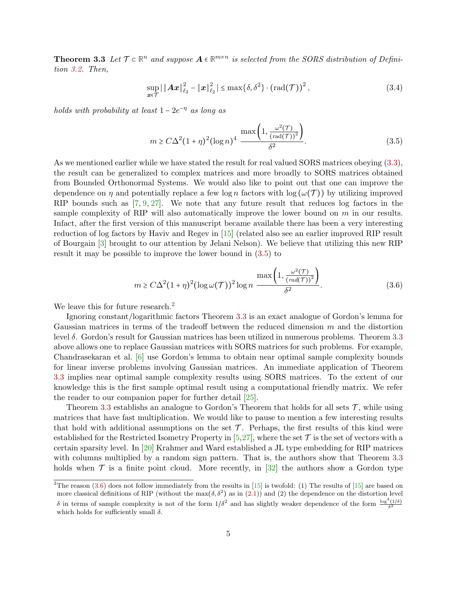**Theorem 3.3** Let  $\mathcal{T} \subset \mathbb{R}^n$  and suppose  $\mathbf{A} \in \mathbb{R}^{m \times n}$  is selected from the SORS distribution of Definition [3.2.](#page-3-4) Then,

$$
\sup_{\boldsymbol{x}\in\mathcal{T}}\|\boldsymbol{A}\boldsymbol{x}\|_{\ell_2}^2-\|\boldsymbol{x}\|_{\ell_2}^2\|\leq \max\{\delta,\delta^2\}\cdot\left(\mathrm{rad}(\mathcal{T})\right)^2,\tag{3.4}
$$

holds with probability at least  $1 - 2e^{-\eta}$  as long as

<span id="page-4-0"></span>
$$
m \ge C\Delta^2 (1+\eta)^2 (\log n)^4 \frac{\max\left(1, \frac{\omega^2(\mathcal{T})}{(\text{rad}(\mathcal{T}))^2}\right)}{\delta^2}.
$$
 (3.5)

As we mentioned earlier while we have stated the result for real valued SORS matrices obeying  $(3.3)$ , the result can be generalized to complex matrices and more broadly to SORS matrices obtained from Bounded Orthonormal Systems. We would also like to point out that one can improve the dependence on  $\eta$  and potentially replace a few log n factors with log  $(\omega(\mathcal{T}))$  by utilizing improved RIP bounds such as [\[7,](#page-16-5) [9,](#page-16-6) [27\]](#page-18-1). We note that any future result that reduces log factors in the sample complexity of RIP will also automatically improve the lower bound on  $m$  in our results. Infact, after the first version of this manuscript became available there has been a very interesting reduction of log factors by Haviv and Regev in [\[15\]](#page-17-15) (related also see an earlier improved RIP result of Bourgain [\[3\]](#page-16-7) brought to our attention by Jelani Nelson). We believe that utilizing this new RIP result it may be possible to improve the lower bound in [\(3.5\)](#page-4-0) to

<span id="page-4-1"></span>
$$
m \ge C\Delta^2 (1+\eta)^2 (\log \omega(\mathcal{T}))^2 \log n \frac{\max\left(1, \frac{\omega^2(\mathcal{T})}{(rad(\mathcal{T}))^2}\right)}{\delta^2}.
$$
 (3.6)

We leave this for future research.<sup>[2](#page-0-0)</sup>

Ignoring constant/logarithmic factors Theorem [3.3](#page-3-5) is an exact analogue of Gordon's lemma for Gaussian matrices in terms of the tradeoff between the reduced dimension  $m$  and the distortion level  $\delta$ . Gordon's result for Gaussian matrices has been utilized in numerous problems. Theorem [3.3](#page-3-5) above allows one to replace Gaussian matrices with SORS matrices for such problems. For example, Chandrasekaran et al. [\[6\]](#page-16-8) use Gordon's lemma to obtain near optimal sample complexity bounds for linear inverse problems involving Gaussian matrices. An immediate application of Theorem [3.3](#page-3-5) implies near optimal sample complexity results using SORS matrices. To the extent of our knowledge this is the first sample optimal result using a computational friendly matrix. We refer the reader to our companion paper for further detail [\[25\]](#page-17-13).

Theorem [3.3](#page-3-5) establishs an analogue to Gordon's Theorem that holds for all sets  $\mathcal{T}$ , while using matrices that have fast multiplication. We would like to pause to mention a few interesting results that hold with additional assumptions on the set  $\mathcal T$ . Perhaps, the first results of this kind were established for the Restricted Isometry Property in  $[5,27]$  $[5,27]$ , where the set T is the set of vectors with a certain sparsity level. In [\[20\]](#page-17-4) Krahmer and Ward established a JL type embedding for RIP matrices with columns multiplied by a random sign pattern. That is, the authors show that Theorem [3.3](#page-3-5) holds when  $\mathcal T$  is a finite point cloud. More recently, in [\[32\]](#page-18-2) the authors show a Gordon type

<sup>&</sup>lt;sup>2</sup>The reason [\(3.6\)](#page-4-1) does not follow immediately from the results in [\[15\]](#page-17-15) is twofold: (1) The results of [15] are based on more classical definitions of RIP (without the max( $\delta$ ,  $\delta^2$ ) as in [\(2.1\)](#page-2-0)) and (2) the dependence on the distortion level δ in terms of sample complexity is not of the form  $1/\delta^2$  and has slightly weaker dependence of the form  $\frac{\log^4(1/\delta)}{\delta^2}$ which holds for sufficiently small  $\delta$ .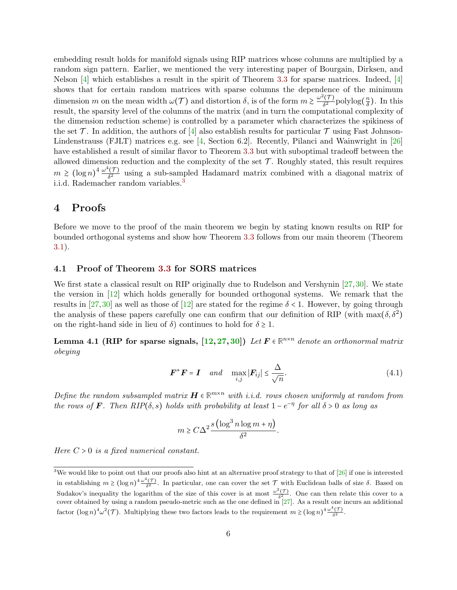embedding result holds for manifold signals using RIP matrices whose columns are multiplied by a random sign pattern. Earlier, we mentioned the very interesting paper of Bourgain, Dirksen, and Nelson  $[4]$  which establishes a result in the spirit of Theorem [3.3](#page-3-5) for sparse matrices. Indeed,  $[4]$ shows that for certain random matrices with sparse columns the dependence of the minimum dimension m on the mean width  $\omega(\mathcal{T})$  and distortion  $\delta$ , is of the form  $m \geq \frac{\omega^2(\mathcal{T})}{\delta^2}$  $\frac{\delta(\mathcal{T})}{\delta^2}$ polylog $\left(\frac{n}{\delta}\right)$  $\frac{n}{\delta}$ ). In this result, the sparsity level of the columns of the matrix (and in turn the computational complexity of the dimension reduction scheme) is controlled by a parameter which characterizes the spikiness of the set  $\mathcal T$ . In addition, the authors of [\[4\]](#page-16-3) also establish results for particular  $\mathcal T$  using Fast Johnson-Lindenstrauss (FJLT) matrices e.g. see [\[4,](#page-16-3) Section 6.2]. Recently, Pilanci and Wainwright in [\[26\]](#page-18-3) have established a result of similar flavor to Theorem [3.3](#page-3-5) but with suboptimal tradeoff between the allowed dimension reduction and the complexity of the set  $\mathcal T$ . Roughly stated, this result requires  $m \geqslant (\log n)^4 \frac{\omega^4(\mathcal{T})}{\delta^2}$  $\frac{(\gamma)}{\delta^2}$  using a sub-sampled Hadamard matrix combined with a diagonal matrix of i.i.d. Rademacher random variables.<sup>[3](#page-0-0)</sup>

# 4 Proofs

Before we move to the proof of the main theorem we begin by stating known results on RIP for bounded orthogonal systems and show how Theorem [3.3](#page-3-5) follows from our main theorem (Theorem [3.1\)](#page-3-0).

## 4.1 Proof of Theorem [3.3](#page-3-5) for SORS matrices

We first state a classical result on RIP originally due to Rudelson and Vershynin [\[27,](#page-18-1)[30\]](#page-18-4). We state the version in [\[12\]](#page-17-14) which holds generally for bounded orthogonal systems. We remark that the results in [\[27,](#page-18-1)[30\]](#page-18-4) as well as those of [\[12\]](#page-17-14) are stated for the regime  $\delta < 1$ . However, by going through the analysis of these papers carefully one can confirm that our definition of RIP (with  $\max(\delta, \delta^2)$ ) on the right-hand side in lieu of  $\delta$ ) continues to hold for  $\delta \geq 1$ .

Lemma 4.1 (RIP for sparse signals,  $[12, 27, 30]$  $[12, 27, 30]$  $[12, 27, 30]$  $[12, 27, 30]$  $[12, 27, 30]$ ) Let  $F \in \mathbb{R}^{n \times n}$  denote an orthonormal matrix obeying

$$
\boldsymbol{F}^* \boldsymbol{F} = \boldsymbol{I} \quad and \quad \max_{i,j} |\boldsymbol{F}_{ij}| \leq \frac{\Delta}{\sqrt{n}}.
$$
 (4.1)

<span id="page-5-0"></span>.

Define the random subsampled matrix  $\boldsymbol{H} \in \mathbb{R}^{m \times n}$  with i.i.d. rows chosen uniformly at random from the rows of **F**. Then RIP( $\delta$ , s) holds with probability at least  $1 - e^{-\eta}$  for all  $\delta > 0$  as long as

$$
m \ge C\Delta^2 \frac{s\left(\log^3 n \log m + \eta\right)}{\delta^2}
$$

Here  $C > 0$  is a fixed numerical constant.

<sup>&</sup>lt;sup>3</sup>We would like to point out that our proofs also hint at an alternative proof strategy to that of  $[26]$  if one is interested in establishing  $m \geq (\log n)^{4} \frac{\omega^{4}(\mathcal{T})}{\delta^{2}}$ . In particular, one can cover the set  $\mathcal{T}_{\alpha}$  with Euclidean balls of size  $\delta$ . Based on Sudakov's inequality the logarithm of the size of this cover is at most  $\frac{\omega^2(T)}{\delta^2}$ . One can then relate this cover to a cover obtained by using a random pseudo-metric such as the one defined in [\[27\]](#page-18-1). As a result one incurs an additional factor  $(\log n)^4 \omega^2(\mathcal{T})$ . Multiplying these two factors leads to the requirement  $m \gtrsim (\log n)^4 \frac{\omega^4(\mathcal{T})}{\delta^2}$ .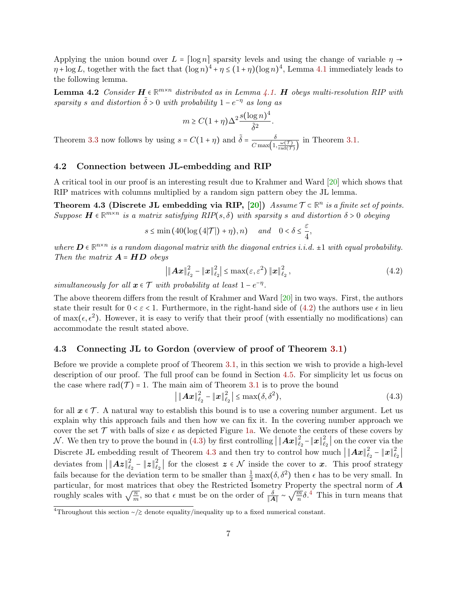Applying the union bound over  $L = \lceil \log n \rceil$  sparsity levels and using the change of variable  $\eta \rightarrow$  $\eta$  + log L, together with the fact that  $(\log n)^4 + \eta \leq (1 + \eta)(\log n)^4$ , Lemma [4.1](#page-5-0) immediately leads to the following lemma.

**Lemma 4.2** Consider  $H \in \mathbb{R}^{m \times n}$  distributed as in Lemma [4.1.](#page-5-0) H obeys multi-resolution RIP with sparsity s and distortion  $\tilde{\delta} > 0$  with probability  $1 - e^{-\eta}$  as long as

<span id="page-6-2"></span><span id="page-6-0"></span>
$$
m \geq C \big(1 + \eta\big) \Delta^2 \frac{s (\log n)^4}{\tilde{\delta}^2}.
$$

Theorem [3.3](#page-3-5) now follows by using  $s = C(1 + \eta)$  and  $\tilde{\delta} = \frac{\delta}{G(1 + \eta)}$  $\frac{\delta}{C \max(1, \frac{\omega(\mathcal{T})}{\text{rad}(\mathcal{T})})}$  in Theorem [3.1.](#page-3-0)

## 4.2 Connection between JL-embedding and RIP

A critical tool in our proof is an interesting result due to Krahmer and Ward [\[20\]](#page-17-4) which shows that RIP matrices with columns multiplied by a random sign pattern obey the JL lemma.

Theorem 4.3 (Discrete JL embedding via RIP,  $[20]$ ) Assume  $\mathcal{T} \subset \mathbb{R}^n$  is a finite set of points. Suppose  $\boldsymbol{H} \in \mathbb{R}^{m \times n}$  is a matrix satisfying RIP(s,  $\delta$ ) with sparsity s and distortion  $\delta > 0$  obeying

$$
s \le \min\left(40\left(\log\left(4|\mathcal{T}|\right)+\eta\right),n\right) \quad and \quad 0 < \delta \le \frac{\varepsilon}{4},
$$

where  $D \in \mathbb{R}^{n \times n}$  is a random diagonal matrix with the diagonal entries i.i.d.  $\pm 1$  with equal probability. Then the matrix  $\mathbf{A} = \mathbf{HD}$  obeys

$$
\left|\left\|\mathbf{A}\mathbf{x}\right\|_{\ell_2}^2 - \|\mathbf{x}\|_{\ell_2}^2\right| \le \max(\varepsilon, \varepsilon^2) \left\|\mathbf{x}\right\|_{\ell_2}^2,\tag{4.2}
$$

simultaneously for all  $x \in \mathcal{T}$  with probability at least  $1 - e^{-\eta}$ .

The above theorem differs from the result of Krahmer and Ward [\[20\]](#page-17-4) in two ways. First, the authors state their result for  $0 < \varepsilon < 1$ . Furthermore, in the right-hand side of [\(4.2\)](#page-6-0) the authors use  $\epsilon$  in lieu of max( $\epsilon, \epsilon^2$ ). However, it is easy to verify that their proof (with essentially no modifications) can accommodate the result stated above.

## 4.3 Connecting JL to Gordon (overview of proof of Theorem [3.1\)](#page-3-0)

Before we provide a complete proof of Theorem [3.1,](#page-3-0) in this section we wish to provide a high-level description of our proof. The full proof can be found in Section [4.5.](#page-8-0) For simplicity let us focus on the case where  $rad(\mathcal{T}) = 1$ . The main aim of Theorem [3.1](#page-3-0) is to prove the bound

<span id="page-6-1"></span>
$$
\left| \|\mathbf{A}\mathbf{x}\|_{\ell_2}^2 - \|\mathbf{x}\|_{\ell_2}^2 \right| \le \max(\delta, \delta^2),\tag{4.3}
$$

for all  $x \in \mathcal{T}$ . A natural way to establish this bound is to use a covering number argument. Let us explain why this approach fails and then how we can fix it. In the covering number approach we cover the set  $\mathcal T$  with balls of size  $\epsilon$  as depicted Figure [1a.](#page-7-0) We denote the centers of these covers by N. We then try to prove the bound in [\(4.3\)](#page-6-1) by first controlling  $\|\mathbf{A}\mathbf{x}\|_{\ell}^2$  $_{\ell_2}^2$ – $\|\boldsymbol{x}\|_{\ell_2}^2$  $\frac{2}{\ell_2}$  on the cover via the Discrete JL embedding result of Theorem [4.3](#page-6-2) and then try to control how much  $||Ax||_{\ell}^2$  $\frac{2}{\ell_2}$  –  $\|\boldsymbol{x}\|_{\ell_2}^2$  $\frac{2}{\ell_2}$   $\mid$ deviates from  $\left| \left\| \boldsymbol{A}\boldsymbol{z} \right\|_{\ell}^2 \right|$  $\frac{2}{\ell_2} - \|\boldsymbol{z}\|_{\ell_2}^2$  $\mathcal{L}_{2}$  for the closest  $\boldsymbol{z} \in \mathcal{N}$  inside the cover to  $\boldsymbol{x}$ . This proof strategy fails because for the deviation term to be smaller than  $\frac{1}{2} \max(\delta, \delta^2)$  then  $\epsilon$  has to be very small. In particular, for most matrices that obey the Restricted Isometry Property the spectral norm of A particular, for most matrices that obey the restricted isometry i rop<br>roughly scales with  $\sqrt{\frac{n}{m}}$ , so that  $\epsilon$  must be on the order of  $\frac{\delta}{\|A\|} \sim \sqrt{\frac{m}{n}}$  $\frac{m}{n}\delta$ <sup>[4](#page-0-0)</sup> This in turn means that

 $\overline{^4$  Throughout this section ~/≳ denote equality/inequality up to a fixed numerical constant.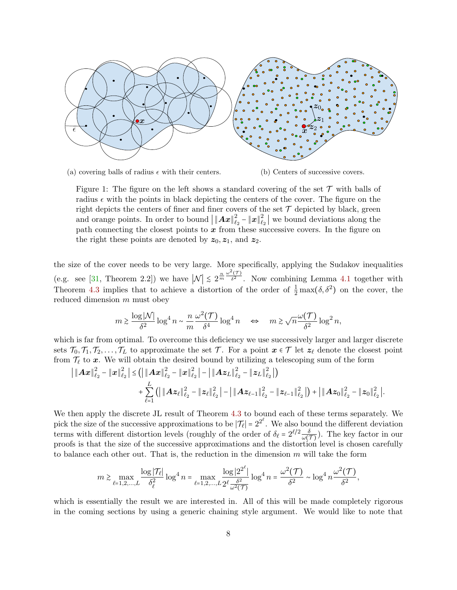<span id="page-7-0"></span>

(a) covering balls of radius  $\epsilon$  with their centers.

(b) Centers of successive covers.

Figure 1: The figure on the left shows a standard covering of the set  $\mathcal T$  with balls of radius  $\epsilon$  with the points in black depicting the centers of the cover. The figure on the right depicts the centers of finer and finer covers of the set  $\mathcal T$  depicted by black, green and orange points. In order to bound  $\left|\|Ax\|_{\ell}^2\right|$  $_{\ell_2}^2$  –  $\|\boldsymbol{x}\|_{\ell_2}^2$  $\mathcal{L}_{\ell_2}$  we bound deviations along the path connecting the closest points to  $x$  from these successive covers. In the figure on the right these points are denoted by  $z_0, z_1$ , and  $z_2$ .

the size of the cover needs to be very large. More specifically, applying the Sudakov inequalities (e.g. see [\[31,](#page-18-5) Theorem 2.2]) we have  $|\mathcal{N}| \leq 2^{\frac{n}{m} \frac{\omega^2(\mathcal{T})}{\delta^2}}$ . Now combining Lemma [4.1](#page-5-0) together with Theorem [4.3](#page-6-2) implies that to achieve a distortion of the order of  $\frac{1}{2} \max(\delta, \delta^2)$  on the cover, the reduced dimension m must obey

$$
m \gtrsim \frac{\log |\mathcal{N}|}{\delta^2} \log^4 n \sim \frac{n}{m} \frac{\omega^2(\mathcal{T})}{\delta^4} \log^4 n \quad \Leftrightarrow \quad m \gtrsim \sqrt{n} \frac{\omega(\mathcal{T})}{\delta^2} \log^2 n,
$$

which is far from optimal. To overcome this deficiency we use successively larger and larger discrete sets  $\mathcal{T}_0, \mathcal{T}_1, \mathcal{T}_2, \ldots, \mathcal{T}_L$  to approximate the set  $\mathcal{T}$ . For a point  $x \in \mathcal{T}$  let  $z_\ell$  denote the closest point from  $\mathcal{T}_{\ell}$  to x. We will obtain the desired bound by utilizing a telescoping sum of the form

$$
\begin{aligned}\n\left| \left\| A x \right\|_{\ell_2}^2 - \left\| x \right\|_{\ell_2}^2 \right| &\leq \left( \left| \left\| A x \right\|_{\ell_2}^2 - \left\| x \right\|_{\ell_2}^2 \right| - \left| \left\| A z_L \right\|_{\ell_2}^2 - \left\| z_L \right\|_{\ell_2}^2 \right| \right) \\
&+ \sum_{\ell=1}^L \left( \left| \left\| A z_\ell \right\|_{\ell_2}^2 - \left\| z_\ell \right\|_{\ell_2}^2 \right| - \left| \left\| A z_{\ell-1} \right\|_{\ell_2}^2 - \left\| z_{\ell-1} \right\|_{\ell_2}^2 \right| \right) + \left| \left\| A z_0 \right\|_{\ell_2}^2 - \left\| z_0 \right\|_{\ell_2}^2 \right|.\n\end{aligned}
$$

We then apply the discrete JL result of Theorem [4.3](#page-6-2) to bound each of these terms separately. We pick the size of the successive approximations to be  $|\mathcal{T}_{\ell}| = 2^{2^{\ell}}$ . We also bound the different deviation terms with different distortion levels (roughly of the order of  $\delta_{\ell} = 2^{\ell/2} \frac{\delta}{\omega \ell^2}$  $\frac{\partial}{\omega(\mathcal{T})}$ ). The key factor in our proofs is that the size of the successive approximations and the distortion level is chosen carefully to balance each other out. That is, the reduction in the dimension  $m$  will take the form

$$
m \gtrsim \max_{\ell=1,2,\dots,L} \frac{\log |\mathcal{T}_{\ell}|}{\delta_{\ell}^2} \log^4 n = \max_{\ell=1,2,\dots,L} \frac{\log |2^{2^{\ell}}|}{2^{\ell} \frac{\delta^2}{\omega^2(\mathcal{T})}} \log^4 n = \frac{\omega^2(\mathcal{T})}{\delta^2} \sim \log^4 n \frac{\omega^2(\mathcal{T})}{\delta^2},
$$

which is essentially the result we are interested in. All of this will be made completely rigorous in the coming sections by using a generic chaining style argument. We would like to note that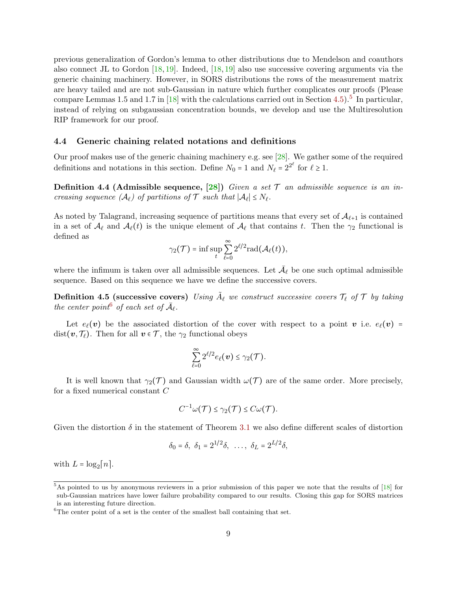previous generalization of Gordon's lemma to other distributions due to Mendelson and coauthors also connect JL to Gordon [\[18,](#page-17-8) [19\]](#page-17-9). Indeed, [\[18,](#page-17-8) [19\]](#page-17-9) also use successive covering arguments via the generic chaining machinery. However, in SORS distributions the rows of the measurement matrix are heavy tailed and are not sub-Gaussian in nature which further complicates our proofs (Please compare Lemmas 1.5 and 1.7 in [\[18\]](#page-17-8) with the calculations carried out in Section [4.5\)](#page-8-0).<sup>[5](#page-0-0)</sup> In particular, instead of relying on subgaussian concentration bounds, we develop and use the Multiresolution RIP framework for our proof.

#### 4.4 Generic chaining related notations and definitions

Our proof makes use of the generic chaining machinery e.g. see [\[28\]](#page-18-6). We gather some of the required definitions and notations in this section. Define  $N_0 = 1$  and  $N_\ell = 2^{2^\ell}$  for  $\ell \ge 1$ .

**Definition 4.4 (Admissible sequence, [\[28\]](#page-18-6))** Given a set  $\mathcal T$  an admissible sequence is an increasing sequence  $(\mathcal{A}_{\ell})$  of partitions of T such that  $|\mathcal{A}_{\ell}| \leq N_{\ell}$ .

As noted by Talagrand, increasing sequence of partitions means that every set of  $\mathcal{A}_{\ell+1}$  is contained in a set of  $\mathcal{A}_{\ell}$  and  $\mathcal{A}_{\ell}(t)$  is the unique element of  $\mathcal{A}_{\ell}$  that contains t. Then the  $\gamma_2$  functional is defined as

<span id="page-8-2"></span>
$$
\gamma_2(\mathcal{T}) = \inf \sup_t \sum_{\ell=0}^\infty 2^{\ell/2} \mathrm{rad}(\mathcal{A}_\ell(t)),
$$

where the infimum is taken over all admissible sequences. Let  $\bar{\mathcal{A}}_{\ell}$  be one such optimal admissible sequence. Based on this sequence we have we define the successive covers.

**Definition 4.5 (successive covers)** Using  $\tilde{A}_{\ell}$  we construct successive covers  $\mathcal{T}_{\ell}$  of  $\mathcal{T}$  by taking the center point of each set of  $\bar{\mathcal{A}}_{\ell}$ .

Let  $e_{\ell}(v)$  be the associated distortion of the cover with respect to a point v i.e.  $e_{\ell}(v)$  = dist $(v, \mathcal{T}_{\ell})$ . Then for all  $v \in \mathcal{T}$ , the  $\gamma_2$  functional obeys

<span id="page-8-1"></span>
$$
\sum_{\ell=0}^{\infty} 2^{\ell/2} e_{\ell}(\boldsymbol{v}) \leq \gamma_2(\mathcal{T}).
$$

It is well known that  $\gamma_2(\mathcal{T})$  and Gaussian width  $\omega(\mathcal{T})$  are of the same order. More precisely, for a fixed numerical constant C

$$
C^{-1}\omega(\mathcal{T})\leq \gamma_2(\mathcal{T})\leq C\omega(\mathcal{T}).
$$

Given the distortion  $\delta$  in the statement of Theorem [3.1](#page-3-0) we also define different scales of distortion

$$
\delta_0 = \delta, \ \delta_1 = 2^{1/2} \delta, \ \ldots, \ \delta_L = 2^{L/2} \delta,
$$

<span id="page-8-0"></span>with  $L = \log_2\lfloor n \rfloor$ .

<sup>&</sup>lt;sup>5</sup>As pointed to us by anonymous reviewers in a prior submission of this paper we note that the results of [\[18\]](#page-17-8) for sub-Gaussian matrices have lower failure probability compared to our results. Closing this gap for SORS matrices is an interesting future direction.

 ${}^{6}$ The center point of a set is the center of the smallest ball containing that set.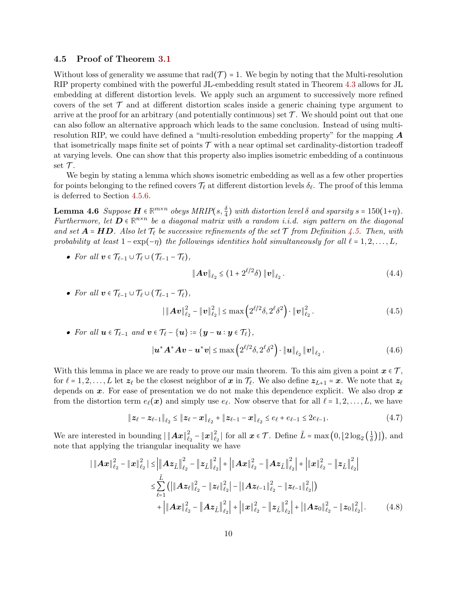#### 4.5 Proof of Theorem [3.1](#page-3-0)

Without loss of generality we assume that  $rad(\mathcal{T}) = 1$ . We begin by noting that the Multi-resolution RIP property combined with the powerful JL-embedding result stated in Theorem [4.3](#page-6-2) allows for JL embedding at different distortion levels. We apply such an argument to successively more refined covers of the set  $\mathcal T$  and at different distortion scales inside a generic chaining type argument to arrive at the proof for an arbitrary (and potentially continuous) set  $\mathcal T$ . We should point out that one can also follow an alternative approach which leads to the same conclusion. Instead of using multiresolution RIP, we could have defined a "multi-resolution embedding property" for the mapping A that isometrically maps finite set of points  $\mathcal T$  with a near optimal set cardinality-distortion tradeoff at varying levels. One can show that this property also implies isometric embedding of a continuous set  $\mathcal{T}$ .

We begin by stating a lemma which shows isometric embedding as well as a few other properties for points belonging to the refined covers  $\mathcal{T}_{\ell}$  at different distortion levels  $\delta_{\ell}$ . The proof of this lemma is deferred to Section [4.5.6.](#page-14-0)

**Lemma 4.6** Suppose  $\boldsymbol{H} \in \mathbb{R}^{m \times n}$  obeys  $MRIP(s, \frac{\delta}{4})$  with distortion level  $\delta$  and sparsity  $s = 150(1+\eta)$ . Furthermore, let  $D \in \mathbb{R}^{n \times n}$  be a diagonal matrix with a random *i.i.d.* sign pattern on the diagonal and set  $A = HD$ . Also let  $\mathcal{T}_\ell$  be successive refinements of the set T from Definition [4.5.](#page-8-1) Then, with probability at least  $1 - \exp(-\eta)$  the followings identities hold simultaneously for all  $\ell = 1, 2, \ldots, L$ ,

• For all  $v \in \mathcal{T}_{\ell-1} \cup \mathcal{T}_{\ell} \cup (\mathcal{T}_{\ell-1} - \mathcal{T}_{\ell}),$ 

<span id="page-9-4"></span><span id="page-9-3"></span><span id="page-9-2"></span><span id="page-9-0"></span>
$$
\|\mathbf{A}\mathbf{v}\|_{\ell_2} \le (1 + 2^{\ell/2}\delta) \|\mathbf{v}\|_{\ell_2} \,.
$$
 (4.4)

- For all  $v \in \mathcal{T}_{\ell-1} \cup \mathcal{T}_{\ell} \cup (\mathcal{T}_{\ell-1} \mathcal{T}_{\ell}),$  $\|\bm{A}\bm{v}\|_{\ell}^2$  $_{\ell_2}^2$  –  $\|\bm{v}\|_{\ell_2}^2$  $\mathcal{L}_{\ell_2}^2 \,|\leq \max\left(2^{\ell/2} \delta, 2^\ell \delta^2\right) \cdot \|\bm{v}\|_{\ell_2}^2$  $\ell_2$  $(4.5)$
- For all  $u \in \mathcal{T}_{\ell-1}$  and  $v \in \mathcal{T}_{\ell} \{u\} \coloneqq \{y u : y \in \mathcal{T}_{\ell}\},\$  $|\boldsymbol{u}^*\boldsymbol{A}^*\boldsymbol{A}\boldsymbol{v} - \boldsymbol{u}^*\boldsymbol{v}| \leq \max\left(2^{\ell/2} \delta, 2^\ell \delta^2\right) \cdot \|\boldsymbol{u}\|_{\ell_2} \, \|\boldsymbol{v}\|_{\ell_2}$  $(4.6)$

With this lemma in place we are ready to prove our main theorem. To this aim given a point  $x \in \mathcal{T}$ , for  $\ell = 1, 2, \ldots, L$  let  $z_{\ell}$  be the closest neighbor of  $x$  in  $\mathcal{T}_{\ell}$ . We also define  $z_{L+1} = x$ . We note that  $z_{\ell}$ depends on  $x$ . For ease of presentation we do not make this dependence explicit. We also drop  $x$ from the distortion term  $e_{\ell}(x)$  and simply use  $e_{\ell}$ . Now observe that for all  $\ell = 1, 2, ..., L$ , we have

<span id="page-9-1"></span>
$$
\|z_{\ell} - z_{\ell-1}\|_{\ell_2} \le \|z_{\ell} - x\|_{\ell_2} + \|z_{\ell-1} - x\|_{\ell_2} \le e_{\ell} + e_{\ell-1} \le 2e_{\ell-1}.
$$
\n(4.7)

We are interested in bounding  $\|\mathbf{A}\mathbf{x}\|_{\ell}^2$  $_{\ell_2}^2$  –  $\|\boldsymbol{x}\|_{\ell_2}^2$  $\frac{2}{\ell_2}$  | for all  $\boldsymbol{x} \in \mathcal{T}$ . Define  $\tilde{L} = \max\left(0, \lfloor 2\log_2\left(\frac{1}{\delta}\right)\right)$  $\frac{1}{\delta}$ ], and note that applying the triangular inequality we have

$$
\|A\boldsymbol{x}\|_{\ell_{2}}^{2} - \|\boldsymbol{x}\|_{\ell_{2}}^{2} \leq \left\|A\boldsymbol{z}_{\tilde{L}}\right\|_{\ell_{2}}^{2} - \|\boldsymbol{z}_{\tilde{L}}\|_{\ell_{2}}^{2} \right\| + \left\|A\boldsymbol{x}\|_{\ell_{2}}^{2} - \|A\boldsymbol{z}_{\tilde{L}}\|_{\ell_{2}}^{2} \right\| + \left\|\|\boldsymbol{x}\|_{\ell_{2}}^{2} - \|\boldsymbol{z}_{\tilde{L}}\|_{\ell_{2}}^{2} \right\|
$$
  

$$
\leq \sum_{\ell=1}^{\tilde{L}} \left( \|\boldsymbol{A}\boldsymbol{z}_{\ell}\|_{\ell_{2}}^{2} - \|\boldsymbol{z}_{\ell}\|_{\ell_{2}}^{2} \right) - \|\boldsymbol{A}\boldsymbol{z}_{\ell-1}\|_{\ell_{2}}^{2} - \|\boldsymbol{z}_{\ell-1}\|_{\ell_{2}}^{2} \right)
$$
  

$$
+ \left\| \boldsymbol{A}\boldsymbol{x}\|_{\ell_{2}}^{2} - \|\boldsymbol{A}\boldsymbol{z}_{\tilde{L}}\|_{\ell_{2}}^{2} \right\| + \left\| \boldsymbol{x}\|_{\ell_{2}}^{2} - \|\boldsymbol{z}_{\tilde{L}}\|_{\ell_{2}}^{2} \right\| + \|\boldsymbol{A}\boldsymbol{z}_{0}\|_{\ell_{2}}^{2} - \|\boldsymbol{z}_{0}\|_{\ell_{2}}^{2} \right|.
$$
 (4.8)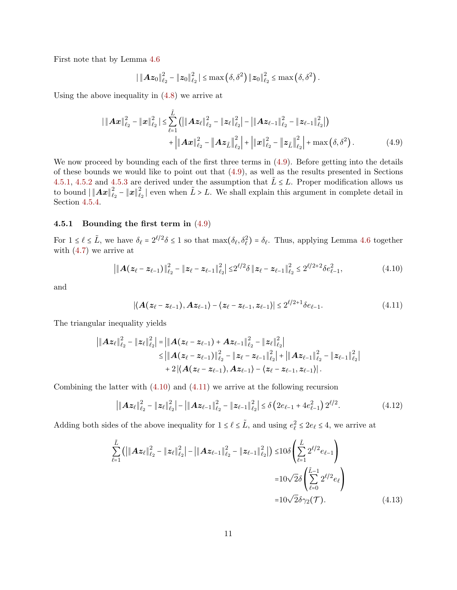First note that by Lemma [4.6](#page-9-0)

<span id="page-10-0"></span>
$$
\left|\left\|\mathbf{A}z_{0}\right\|^{2}_{\ell_{2}}-\left\|z_{0}\right\|^{2}_{\ell_{2}}\right|\leq\max\left(\delta,\delta^{2}\right)\left\|z_{0}\right\|^{2}_{\ell_{2}}\leq\max\left(\delta,\delta^{2}\right).
$$

Using the above inequality in [\(4.8\)](#page-9-1) we arrive at

$$
\|\mathbf{A}\mathbf{x}\|_{\ell_2}^2 - \|\mathbf{x}\|_{\ell_2}^2 \le \sum_{\ell=1}^{\tilde{L}} \left( \|\mathbf{A}\mathbf{z}_{\ell}\|_{\ell_2}^2 - \|\mathbf{z}_{\ell}\|_{\ell_2}^2 \right) - \|\mathbf{A}\mathbf{z}_{\ell-1}\|_{\ell_2}^2 - \|\mathbf{z}_{\ell-1}\|_{\ell_2}^2 \right) + \|\mathbf{A}\mathbf{x}\|_{\ell_2}^2 - \|\mathbf{A}\mathbf{z}_{\tilde{L}}\|_{\ell_2}^2 \Big| + \|\mathbf{x}\|_{\ell_2}^2 - \|\mathbf{z}_{\tilde{L}}\|_{\ell_2}^2 \Big| + \max\left(\delta, \delta^2\right). \tag{4.9}
$$

We now proceed by bounding each of the first three terms in  $(4.9)$ . Before getting into the details of these bounds we would like to point out that  $(4.9)$ , as well as the results presented in Sections [4.5.1,](#page-10-1) [4.5.2](#page-10-2) and [4.5.3](#page-11-0) are derived under the assumption that  $\tilde{L} \leq L$ . Proper modification allows us to bound  $\lVert \boldsymbol{A}\boldsymbol{x} \rVert^2_\ell$  $\frac{2}{\ell_2}$  –  $\|\boldsymbol{x}\|_{\ell_2}^2$  $\mathcal{L}_{\ell_2}$  even when  $\tilde{L} > L$ . We shall explain this argument in complete detail in Section [4.5.4.](#page-12-0)

#### <span id="page-10-1"></span>4.5.1 Bounding the first term in [\(4.9\)](#page-10-0)

For  $1 \leq \ell \leq \tilde{L}$ , we have  $\delta_{\ell} = 2^{\ell/2} \delta \leq 1$  so that  $\max(\delta_{\ell}, \delta_{\ell}^2) = \delta_{\ell}$ . Thus, applying Lemma [4.6](#page-9-0) together with [\(4.7\)](#page-9-2) we arrive at

$$
\left| \|\mathbf{A} (z_{\ell} - z_{\ell-1}) \|_{\ell_2}^2 - \|z_{\ell} - z_{\ell-1} \|_{\ell_2}^2 \right| \leq 2^{\ell/2} \delta \|z_{\ell} - z_{\ell-1} \|_{\ell_2}^2 \leq 2^{\ell/2 + 2} \delta e_{\ell-1}^2,
$$
\n(4.10)

and

<span id="page-10-4"></span><span id="page-10-3"></span>
$$
|\langle \mathbf{A}(\boldsymbol{z}_{\ell} - \boldsymbol{z}_{\ell-1}), \mathbf{A}\boldsymbol{z}_{\ell-1}\rangle - \langle \boldsymbol{z}_{\ell} - \boldsymbol{z}_{\ell-1}, \boldsymbol{z}_{\ell-1}\rangle| \le 2^{\ell/2+1} \delta e_{\ell-1}.
$$
\n(4.11)

The triangular inequality yields

$$
\begin{aligned}\n\left| \|A z_\ell\|_{\ell_2}^2 - \|z_\ell\|_{\ell_2}^2 \right| &= \left| \|A(z_\ell - z_{\ell-1}) + A z_{\ell-1}\|_{\ell_2}^2 - \|z_\ell\|_{\ell_2}^2 \right| \\
&\leq \left| \|A(z_\ell - z_{\ell-1})\|_{\ell_2}^2 - \|z_\ell - z_{\ell-1}\|_{\ell_2}^2 \right| + \left| \|A z_{\ell-1}\|_{\ell_2}^2 - \|z_{\ell-1}\|_{\ell_2}^2 \right| \\
&\qquad + 2 \left| \langle A(z_\ell - z_{\ell-1}), A z_{\ell-1} \rangle - \langle z_\ell - z_{\ell-1}, z_{\ell-1} \rangle \right|. \end{aligned}
$$

Combining the latter with  $(4.10)$  and  $(4.11)$  we arrive at the following recursion

$$
\left| \|\mathbf{A} \mathbf{z}_{\ell} \|_{\ell_2}^2 - \|\mathbf{z}_{\ell} \|_{\ell_2}^2 \right| - \left| \|\mathbf{A} \mathbf{z}_{\ell-1} \|_{\ell_2}^2 - \|\mathbf{z}_{\ell-1} \|_{\ell_2}^2 \right| \le \delta \left( 2e_{\ell-1} + 4e_{\ell-1}^2 \right) 2^{\ell/2}.
$$
 (4.12)

<span id="page-10-2"></span>Adding both sides of the above inequality for  $1 \leq \ell \leq \tilde{L}$ , and using  $e_{\ell}^2 \leq 2e_{\ell} \leq 4$ , we arrive at

<span id="page-10-5"></span>
$$
\sum_{\ell=1}^{\tilde{L}} \left( \left| \|\mathbf{A} \mathbf{z}_{\ell} \|_{\ell_2}^2 - \|\mathbf{z}_{\ell} \|_{\ell_2}^2 \right| - \left| \|\mathbf{A} \mathbf{z}_{\ell-1} \|_{\ell_2}^2 - \|\mathbf{z}_{\ell-1} \|_{\ell_2}^2 \right| \right) \le 10 \delta \left( \sum_{\ell=1}^{\tilde{L}} 2^{\ell/2} e_{\ell-1} \right)
$$
\n
$$
= 10 \sqrt{2} \delta \left( \sum_{\ell=0}^{\tilde{L}-1} 2^{\ell/2} e_{\ell} \right)
$$
\n
$$
= 10 \sqrt{2} \delta \gamma_2(\mathcal{T}). \tag{4.13}
$$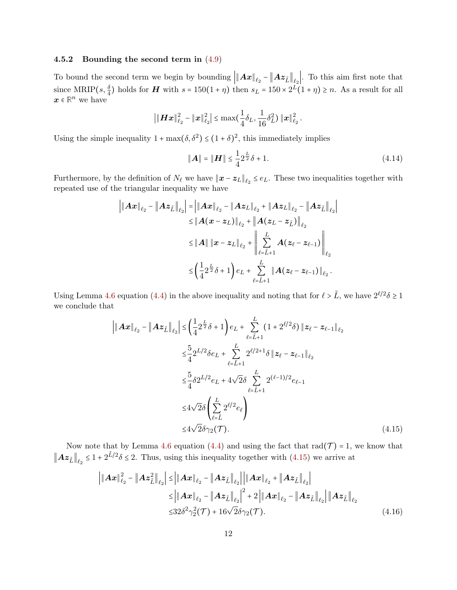## 4.5.2 Bounding the second term in [\(4.9\)](#page-10-0)

To bound the second term we begin by bounding  $||Ax||_{\ell_2} - ||Az_{\tilde{L}}||_{\ell_2}$ . To this aim first note that since MRIP $(s, \frac{\delta}{4})$  holds for **H** with  $s = 150(1 + \eta)$  then  $s_L = 150 \times 2^L(1 + \eta) \geq n$ . As a result for all  $\boldsymbol{x} \in \mathbb{R}^n$  we have

$$
\left|\|\mathbf{Hx}\|_{\ell_2}^2 - \|\mathbf{x}\|_{\ell_2}^2\right| \le \max\left(\frac{1}{4}\delta_L, \frac{1}{16}\delta_L^2\right) \|\mathbf{x}\|_{\ell_2}^2.
$$

Using the simple inequality  $1 + \max(\delta, \delta^2) \le (1 + \delta)^2$ , this immediately implies

$$
\|\mathbf{A}\| = \|\mathbf{H}\| \le \frac{1}{4} 2^{\frac{L}{2}} \delta + 1. \tag{4.14}
$$

Furthermore, by the definition of  $N_\ell$  we have  $||x - z_L||_{\ell_2} \leq e_L$ . These two inequalities together with repeated use of the triangular inequality we have

$$
\begin{aligned}\n\left| \|A x\|_{\ell_2} - \|A z_{\tilde{L}}\|_{\ell_2} \right| &= \left| \|A x\|_{\ell_2} - \|A z_{L}\|_{\ell_2} + \|A z_{L}\|_{\ell_2} - \|A z_{\tilde{L}}\|_{\ell_2} \right| \\
&\leq \|A (x - z_{L})\|_{\ell_2} + \|A (z_{L} - z_{\tilde{L}})\|_{\ell_2} \\
&\leq \|A\| \|x - z_{L}\|_{\ell_2} + \left\| \sum_{\ell = \tilde{L} + 1}^{L} A (z_{\ell} - z_{\ell - 1}) \right\|_{\ell_2} \\
&\leq \left( \frac{1}{4} 2^{\frac{L}{2}} \delta + 1 \right) e_L + \sum_{\ell = \tilde{L} + 1}^{L} \|A (z_{\ell} - z_{\ell - 1})\|_{\ell_2} \,.\n\end{aligned}
$$

Using Lemma [4.6](#page-9-0) equation [\(4.4\)](#page-8-2) in the above inequality and noting that for  $\ell > \tilde{L}$ , we have  $2^{\ell/2}\delta \ge 1$ we conclude that

<span id="page-11-1"></span>
$$
\left| \|\mathbf{A}\mathbf{x}\|_{\ell_2} - \|\mathbf{A}\mathbf{z}_{\tilde{L}}\|_{\ell_2} \right| \leq \left( \frac{1}{4} 2^{\frac{L}{2}} \delta + 1 \right) e_L + \sum_{\ell = \tilde{L} + 1}^{L} \left( 1 + 2^{\ell/2} \delta \right) \|\mathbf{z}_{\ell} - \mathbf{z}_{\ell-1}\|_{\ell_2}
$$
\n
$$
\leq \frac{5}{4} 2^{L/2} \delta e_L + \sum_{\ell = \tilde{L} + 1}^{L} 2^{\ell/2 + 1} \delta \|\mathbf{z}_{\ell} - \mathbf{z}_{\ell-1}\|_{\ell_2}
$$
\n
$$
\leq \frac{5}{4} \delta 2^{L/2} e_L + 4\sqrt{2} \delta \sum_{\ell = \tilde{L} + 1}^{L} 2^{(\ell-1)/2} e_{\ell-1}
$$
\n
$$
\leq 4\sqrt{2} \delta \left( \sum_{\ell = \tilde{L}}^{L} 2^{\ell/2} e_{\ell} \right)
$$
\n
$$
\leq 4\sqrt{2} \delta \gamma_2(\mathcal{T}). \tag{4.15}
$$

Now note that by Lemma [4.6](#page-9-0) equation [\(4.4\)](#page-8-2) and using the fact that  $rad(\mathcal{T}) = 1$ , we know that  $||Az_{\tilde{L}}||_{\ell_2} \leq 1 + 2^{\tilde{L}/2} \delta \leq 2$ . Thus, using this inequality together with [\(4.15\)](#page-11-1) we arrive at

<span id="page-11-2"></span><span id="page-11-0"></span>
$$
\|A\bm{x}\|_{\ell_2}^2 - \|A\bm{z}_{\tilde{L}}^2\|_{\ell_2} \leq \|\bm{A}\bm{x}\|_{\ell_2} - \|A\bm{z}_{\tilde{L}}\|_{\ell_2} \leq \|\bm{A}\bm{x}\|_{\ell_2} - \|A\bm{z}_{\tilde{L}}\|_{\ell_2} \leq \|\bm{A}\bm{x}\|_{\ell_2} - \|A\bm{z}_{\tilde{L}}\|_{\ell_2}^2 \leq \|\bm{A}\bm{x}\|_{\ell_2} - \|A\bm{z}_{\tilde{L}}\|_{\ell_2} \leq 32\delta^2 \gamma_2^2(\mathcal{T}) + 16\sqrt{2}\delta \gamma_2(\mathcal{T}). \tag{4.16}
$$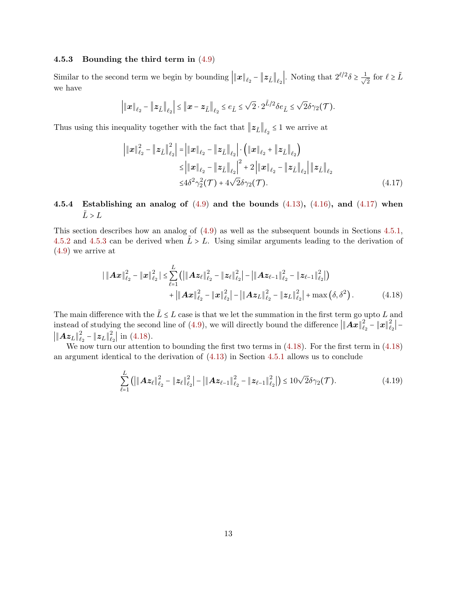## 4.5.3 Bounding the third term in [\(4.9\)](#page-10-0)

Similar to the second term we begin by bounding  $||x||_{\ell_2} - ||z_{\tilde{L}}||_{\ell_2}$ . Noting that  $2^{\ell/2}\delta \ge \frac{1}{\sqrt{\ell}}$  $\frac{1}{2}$  for  $\ell \geq \tilde{L}$ we have

$$
\left|\left\|\bm{x}\right\|_{\ell_2}-\left\|\bm{z}_{\tilde{L}}\right\|_{\ell_2}\right|\leq\left\|\bm{x}-\bm{z}_{\tilde{L}}\right\|_{\ell_2}\leq e_{\tilde{L}}\leq \sqrt{2}\cdot 2^{\tilde{L}/2}\delta e_{\tilde{L}}\leq \sqrt{2}\delta\gamma_2(\mathcal{T}).
$$

Thus using this inequality together with the fact that  $||z_{\tilde{L}}||_{\ell_2} \leq 1$  we arrive at

<span id="page-12-1"></span>
$$
\|x\|_{\ell_2}^2 - \|z_{\tilde{L}}\|_{\ell_2}^2 = \|x\|_{\ell_2} - \|z_{\tilde{L}}\|_{\ell_2} \cdot \left(\|x\|_{\ell_2} + \|z_{\tilde{L}}\|_{\ell_2}\right) \n\leq \|x\|_{\ell_2} - \|z_{\tilde{L}}\|_{\ell_2}\|^2 + 2\|x\|_{\ell_2} - \|z_{\tilde{L}}\|_{\ell_2}\|z_{\tilde{L}}\|_{\ell_2} \n\leq 4\delta^2 \gamma_2^2(\mathcal{T}) + 4\sqrt{2}\delta \gamma_2(\mathcal{T}).
$$
\n(4.17)

# <span id="page-12-0"></span>4.5.4 Establishing an analog of [\(4.9\)](#page-10-0) and the bounds [\(4.13\)](#page-10-5), [\(4.16\)](#page-11-2), and [\(4.17\)](#page-12-1) when  $\tilde{L} > L$

This section describes how an analog of [\(4.9\)](#page-10-0) as well as the subsequent bounds in Sections [4.5.1,](#page-10-1) [4.5.2](#page-10-2) and [4.5.3](#page-11-0) can be derived when  $L > L$ . Using similar arguments leading to the derivation of [\(4.9\)](#page-10-0) we arrive at

$$
\|A\boldsymbol{x}\|_{\ell_2}^2 - \|\boldsymbol{x}\|_{\ell_2}^2 \leq \sum_{\ell=1}^L ( \|A\boldsymbol{z}_{\ell}\|_{\ell_2}^2 - \|\boldsymbol{z}_{\ell}\|_{\ell_2}^2 | - \|A\boldsymbol{z}_{\ell-1}\|_{\ell_2}^2 - \|\boldsymbol{z}_{\ell-1}\|_{\ell_2}^2 | ) + \|A\boldsymbol{x}\|_{\ell_2}^2 - \|\boldsymbol{x}\|_{\ell_2}^2 | - \|A\boldsymbol{z}_{L}\|_{\ell_2}^2 - \|\boldsymbol{z}_{L}\|_{\ell_2}^2 | + \max(\delta, \delta^2).
$$
 (4.18)

The main difference with the  $\tilde{L} \leq L$  case is that we let the summation in the first term go upto L and instead of studying the second line of [\(4.9\)](#page-10-0), we will directly bound the difference  $\|\mathbf{A}\mathbf{x}\|_{\ell}^2$  $\frac{2}{\ell_2} - \|\boldsymbol{x}\|_{\ell_2}^2$  $\frac{2}{\ell_2}$  –  $\left\|\boldsymbol{A}\boldsymbol{z}_L\right\|_{\ell^1}^2$  $\frac{2}{\ell_2} - \left\| \boldsymbol{z}_L \right\|^2_{\ell_2}$  $\frac{2}{\ell_2}$  in [\(4.18\)](#page-12-2).

We now turn our attention to bounding the first two terms in  $(4.18)$ . For the first term in  $(4.18)$ an argument identical to the derivation of [\(4.13\)](#page-10-5) in Section [4.5.1](#page-10-1) allows us to conclude

<span id="page-12-3"></span><span id="page-12-2"></span>
$$
\sum_{\ell=1}^{L} (||A z_{\ell}||_{\ell_2}^2 - ||z_{\ell}||_{\ell_2}^2 - ||A z_{\ell-1}||_{\ell_2}^2 - ||z_{\ell-1}||_{\ell_2}^2|) \leq 10\sqrt{2}\delta\gamma_2(\mathcal{T}).
$$
\n(4.19)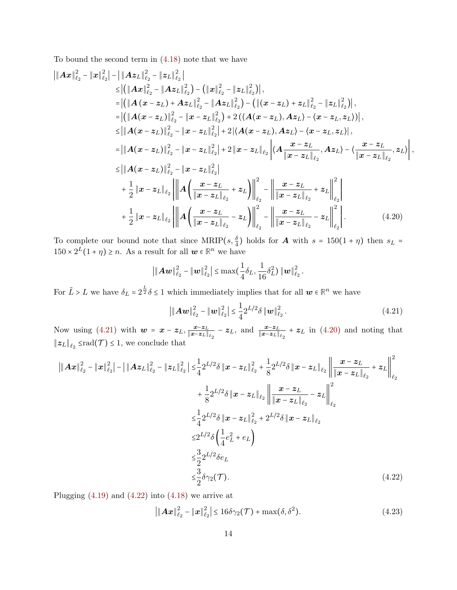To bound the second term in [\(4.18\)](#page-12-2) note that we have

$$
\|Ax\|_{\ell_{2}}^{2} - \|x\|_{\ell_{2}}^{2} - \|Az_{L}\|_{\ell_{2}}^{2} - \|z_{L}\|_{\ell_{2}}^{2} \leq \left\| (||Ax||_{\ell_{2}}^{2} - ||Az_{L}\|_{\ell_{2}}^{2}) - (||x||_{\ell_{2}}^{2} - ||z_{L}\|_{\ell_{2}}^{2}) \right\|,
$$
  
\n
$$
= |(|A (x - z_{L}) + Az_{L}\|_{\ell_{2}}^{2} - ||Az_{L}\|_{\ell_{2}}^{2}) - (||(x - z_{L}) + z_{L}\|_{\ell_{2}}^{2} - ||z_{L}\|_{\ell_{2}}^{2})|,
$$
  
\n
$$
= |(|A (x - z_{L})|_{\ell_{2}}^{2} - ||x - z_{L}\|_{\ell_{2}}^{2}) + 2(|A (x - z_{L}), Az_{L}) - (x - z_{L}, z_{L})|,
$$
  
\n
$$
\leq ||A (x - z_{L})||_{\ell_{2}}^{2} - ||x - z_{L}\|_{\ell_{2}}^{2} + 2||A (x - z_{L}), Az_{L}) - (x - z_{L}, z_{L})|,
$$
  
\n
$$
= ||A (x - z_{L})||_{\ell_{2}}^{2} - ||x - z_{L}\|_{\ell_{2}}^{2} + 2||x - z_{L}\|_{\ell_{2}} \left|\langle A \frac{x - z_{L}}{||x - z_{L}||_{\ell_{2}}}, Az_{L}\rangle - \langle \frac{x - z_{L}}{||x - z_{L}||_{\ell_{2}}}, z_{L}\rangle \right|,
$$
  
\n
$$
\leq ||A (x - z_{L})||_{\ell_{2}}^{2} - ||x - z_{L}\|_{\ell_{2}}^{2} ||
$$
  
\n
$$
+ \frac{1}{2} ||x - z_{L}\|_{\ell_{2}} \left\| \left| A \left( \frac{x - z_{L}}{||x - z_{L}||_{\ell_{2}}} + z_{L} \right) \right| \right\|_{\ell_{2}}^{2} - \left\| \frac{x - z_{L}}{||x - z_{L}||_{\ell_{2}}} + z_{L} \right\|_{\ell_{2}}^{2} \right|.
$$
  
\n
$$
+ \frac{1}{2} ||x - z_{L}||_{\ell_{2}} \left\| \left| A \left
$$

To complete our bound note that since  $MRIP(s, \frac{\delta}{4})$  holds for **A** with  $s = 150(1 + \eta)$  then  $s_L$  $150 \times 2^{L}(1 + \eta) \geq n$ . As a result for all  $w \in \mathbb{R}^{n}$  we have

$$
\left|\|\mathbf{A}\mathbf{w}\|_{\ell_2}^2 - \|\mathbf{w}\|_{\ell_2}^2\right| \le \max\left(\frac{1}{4}\delta_L, \frac{1}{16}\delta_L^2\right) \|\mathbf{w}\|_{\ell_2}^2.
$$

For  $\tilde{L} > L$  we have  $\delta_L = 2^{\frac{L}{2}} \delta \leq 1$  which immediately implies that for all  $w \in \mathbb{R}^n$  we have

<span id="page-13-1"></span><span id="page-13-0"></span>
$$
\left| \|\mathbf{A}\mathbf{w}\|_{\ell_2}^2 - \|\mathbf{w}\|_{\ell_2}^2 \right| \leq \frac{1}{4} 2^{L/2} \delta \|\mathbf{w}\|_{\ell_2}^2 \,. \tag{4.21}
$$

Now using  $(4.21)$  with  $\mathbf{w} = \mathbf{x} - \mathbf{z}_L$ ,  $\frac{\mathbf{x} - \mathbf{z}_L}{\|\mathbf{x} - \mathbf{z}_L\|}$  $\frac{x-z_L}{\|x-z_L\|_{\ell_2}} - z_L$ , and  $\frac{x-z_L}{\|x-z_L\|_{\ell_2}} + z_L$  in [\(4.20\)](#page-13-1) and noting that  $||z_L||_{\ell_2}$  ≤rad $(\mathcal{T})$  ≤ 1, we conclude that

$$
\|A\boldsymbol{x}\|_{\ell_{2}}^{2} - \|\boldsymbol{x}\|_{\ell_{2}}^{2} - \|\boldsymbol{A}\boldsymbol{z}_{L}\|_{\ell_{2}}^{2} - \|\boldsymbol{z}_{L}\|_{\ell_{2}}^{2} \leq \frac{1}{4} 2^{L/2} \delta \|\boldsymbol{x} - \boldsymbol{z}_{L}\|_{\ell_{2}}^{2} + \frac{1}{8} 2^{L/2} \delta \|\boldsymbol{x} - \boldsymbol{z}_{L}\|_{\ell_{2}} \left\|\frac{\boldsymbol{x} - \boldsymbol{z}_{L}}{\|\boldsymbol{x} - \boldsymbol{z}_{L}\|_{\ell_{2}}} + \frac{1}{8} 2^{L/2} \delta \|\boldsymbol{x} - \boldsymbol{z}_{L}\|_{\ell_{2}} \left\|\frac{\boldsymbol{x} - \boldsymbol{z}_{L}}{\|\boldsymbol{x} - \boldsymbol{z}_{L}\|_{\ell_{2}}} - \boldsymbol{z}_{L}\right\|_{\ell_{2}}^{2} \right\}
$$

$$
\leq \frac{1}{4} 2^{L/2} \delta \|\boldsymbol{x} - \boldsymbol{z}_{L}\|_{\ell_{2}}^{2} + 2^{L/2} \delta \|\boldsymbol{x} - \boldsymbol{z}_{L}\|_{\ell_{2}}^{2}
$$

$$
\leq 2^{L/2} \delta \left(\frac{1}{4} e_{L}^{2} + e_{L}\right)
$$

$$
\leq \frac{3}{2} 2^{L/2} \delta \boldsymbol{e}_{L}
$$

$$
\leq \frac{3}{2} \delta \gamma_{2}(\mathcal{T}). \tag{4.22}
$$

Plugging  $(4.19)$  and  $(4.22)$  into  $(4.18)$  we arrive at

<span id="page-13-3"></span><span id="page-13-2"></span>
$$
\left| \|A\boldsymbol{x}\|_{\ell_2}^2 - \|\boldsymbol{x}\|_{\ell_2}^2 \right| \le 16\delta\gamma_2(\mathcal{T}) + \max(\delta, \delta^2). \tag{4.23}
$$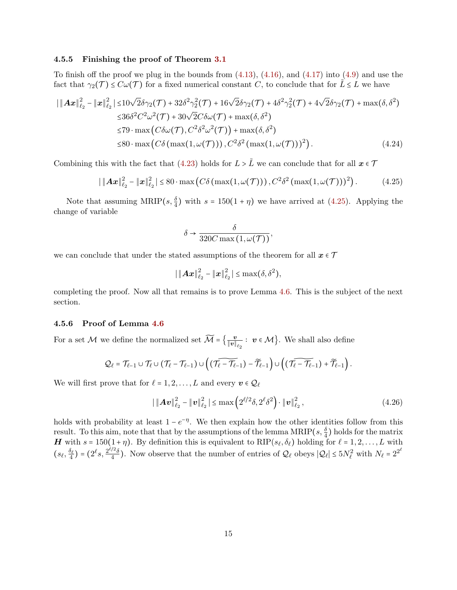#### 4.5.5 Finishing the proof of Theorem [3.1](#page-3-0)

To finish off the proof we plug in the bounds from  $(4.13)$ ,  $(4.16)$ , and  $(4.17)$  into  $(4.9)$  and use the fact that  $\gamma_2(\mathcal{T}) \leq C \omega(\mathcal{T})$  for a fixed numerical constant C, to conclude that for  $L \leq L$  we have

$$
\|A\boldsymbol{x}\|_{\ell_2}^2 - \|\boldsymbol{x}\|_{\ell_2}^2 \le 10\sqrt{2}\delta\gamma_2(\mathcal{T}) + 32\delta^2\gamma_2^2(\mathcal{T}) + 16\sqrt{2}\delta\gamma_2(\mathcal{T}) + 4\delta^2\gamma_2^2(\mathcal{T}) + 4\sqrt{2}\delta\gamma_2(\mathcal{T}) + \max(\delta, \delta^2)
$$
  
\n
$$
\le 36\delta^2 C^2 \omega^2(\mathcal{T}) + 30\sqrt{2}C\delta\omega(\mathcal{T}) + \max(\delta, \delta^2)
$$
  
\n
$$
\le 79 \cdot \max\left(C\delta\omega(\mathcal{T}), C^2\delta^2\omega^2(\mathcal{T})\right) + \max(\delta, \delta^2)
$$
  
\n
$$
\le 80 \cdot \max\left(C\delta\left(\max(1, \omega(\mathcal{T}))\right), C^2\delta^2\left(\max(1, \omega(\mathcal{T}))\right)^2\right).
$$
 (4.24)

Combining this with the fact that [\(4.23\)](#page-13-3) holds for  $L > \tilde{L}$  we can conclude that for all  $x \in \mathcal{T}$ 

$$
\left|\left\|\mathbf{A}\mathbf{x}\right\|_{\ell_2}^2 - \|\mathbf{x}\|_{\ell_2}^2\right| \le 80 \cdot \max\left(C\delta\left(\max(1,\omega(\mathcal{T}))\right), C^2\delta^2\left(\max(1,\omega(\mathcal{T}))\right)^2\right). \tag{4.25}
$$

Note that assuming  $MRIP(s, \frac{\delta}{4})$  with  $s = 150(1 + \eta)$  we have arrived at [\(4.25\)](#page-14-1). Applying the change of variable

<span id="page-14-1"></span>
$$
\delta \to \frac{\delta}{320C \max(1, \omega(\mathcal{T}))},
$$

we can conclude that under the stated assumptions of the theorem for all  $x \in \mathcal{T}$ 

$$
\|\|A\bm{x}\|_{\ell_2}^2 - \|\bm{x}\|_{\ell_2}^2 \|\leq \max(\delta,\delta^2),
$$

completing the proof. Now all that remains is to prove Lemma [4.6.](#page-9-0) This is the subject of the next section.

#### <span id="page-14-0"></span>4.5.6 Proof of Lemma [4.6](#page-9-0)

For a set  $M$  we define the normalized set  $\widetilde{\mathcal{M}} = \left\{ \frac{\bm{v}}{\|\bm{v}\|_{\ell_2}} : \ \bm{v} \in \mathcal{M} \right\}$ . We shall also define

$$
\mathcal{Q}_{\ell} = \mathcal{T}_{\ell-1} \cup \mathcal{T}_{\ell} \cup (\mathcal{T}_{\ell} - \mathcal{T}_{\ell-1}) \cup \left( (\widetilde{\mathcal{T}_{\ell} - \mathcal{T}_{\ell-1}}) - \widetilde{\mathcal{T}}_{\ell-1} \right) \cup \left( (\widetilde{\mathcal{T}_{\ell} - \mathcal{T}_{\ell-1}}) + \widetilde{\mathcal{T}}_{\ell-1} \right).
$$

We will first prove that for  $\ell = 1, 2, \ldots, L$  and every  $v \in \mathcal{Q}_\ell$ 

<span id="page-14-2"></span>
$$
\left| \|\mathbf{A}\mathbf{v}\|_{\ell_2}^2 - \|\mathbf{v}\|_{\ell_2}^2 \right| \le \max\left(2^{\ell/2}\delta, 2^{\ell}\delta^2\right) \cdot \|\mathbf{v}\|_{\ell_2}^2, \tag{4.26}
$$

holds with probability at least  $1 - e^{-\eta}$ . We then explain how the other identities follow from this result. To this aim, note that that by the assumptions of the lemma  $\mathrm{MRIP}(s,\frac{\delta}{4})$  holds for the matrix **H** with  $s = 150(1 + \eta)$ . By definition this is equivalent to RIP( $s_\ell, \delta_\ell$ ) holding for  $\ell = 1, 2, ..., L$  with  $(s_{\ell}, \frac{\delta_{\ell}}{4}) = (2^{\ell} s, \frac{2^{\ell/2} \delta}{4})$  $\frac{1}{4}$ . Now observe that the number of entries of  $\mathcal{Q}_{\ell}$  obeys  $|\mathcal{Q}_{\ell}| \le 5N_{\ell}^2$  with  $N_{\ell} = 2^{2^{\ell}}$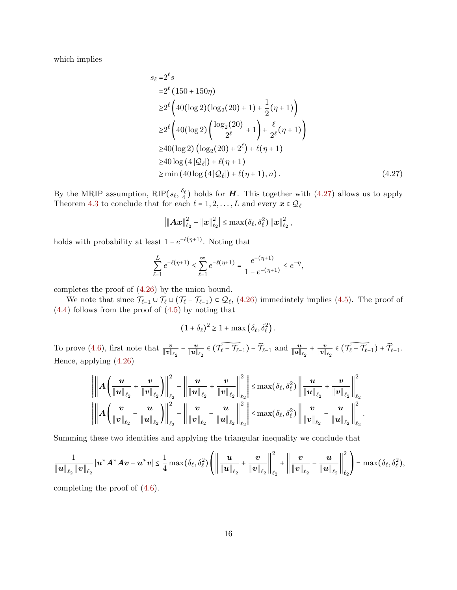which implies

$$
s_{\ell} = 2^{\ell} s
$$
  
\n
$$
= 2^{\ell} (150 + 150\eta)
$$
  
\n
$$
\geq 2^{\ell} \left( 40(\log 2)(\log_2(20) + 1) + \frac{1}{2}(\eta + 1) \right)
$$
  
\n
$$
\geq 2^{\ell} \left( 40(\log 2) \left( \frac{\log_2(20)}{2^{\ell}} + 1 \right) + \frac{\ell}{2^{\ell}}(\eta + 1) \right)
$$
  
\n
$$
\geq 40(\log 2) (\log_2(20) + 2^{\ell}) + \ell(\eta + 1)
$$
  
\n
$$
\geq 40 \log (4|Q_{\ell}|) + \ell(\eta + 1)
$$
  
\n
$$
\geq \min (40 \log (4|Q_{\ell}|) + \ell(\eta + 1), \eta).
$$
 (4.27)

By the MRIP assumption,  $RIP(s_\ell, \frac{\delta_\ell}{4})$  holds for  $H$ . This together with [\(4.27\)](#page-15-0) allows us to apply Theorem [4.3](#page-6-2) to conclude that for each  $\ell = 1, 2, \ldots, L$  and every  $\boldsymbol{x} \in \mathcal{Q}_{\ell}$ 

<span id="page-15-0"></span>
$$
\left|\left\|\mathbf{A}\mathbf{x}\right\|_{\ell_2}^2 - \|\mathbf{x}\|_{\ell_2}^2\right| \leq \max(\delta_{\ell}, \delta_{\ell}^2) \left\|\mathbf{x}\right\|_{\ell_2}^2,
$$

holds with probability at least  $1 - e^{-\ell(\eta+1)}$ . Noting that

$$
\sum_{\ell=1}^{L} e^{-\ell(\eta+1)} \le \sum_{\ell=1}^{\infty} e^{-\ell(\eta+1)} = \frac{e^{-(\eta+1)}}{1 - e^{-(\eta+1)}} \le e^{-\eta},
$$

completes the proof of [\(4.26\)](#page-14-2) by the union bound.

We note that since  $\mathcal{T}_{\ell-1} \cup \mathcal{T}_{\ell} \cup (\mathcal{T}_{\ell} - \mathcal{T}_{\ell-1}) \subset \mathcal{Q}_{\ell}$ , [\(4.26\)](#page-14-2) immediately implies [\(4.5\)](#page-9-3). The proof of  $(4.4)$  follows from the proof of  $(4.5)$  by noting that

$$
(1+\delta_{\ell})^2 \ge 1 + \max\left(\delta_{\ell}, \delta_{\ell}^2\right).
$$

To prove [\(4.6\)](#page-9-4), first note that  $\frac{v}{\|v\|_{\ell_2}} - \frac{u}{\|u\|_{\ell_2}} \in (\widetilde{\mathcal{T}_{\ell}} - \widetilde{\mathcal{T}_{\ell-1}}) - \widetilde{\mathcal{T}}_{\ell-1}$  and  $\frac{u}{\|u\|_{\ell_2}} + \frac{v}{\|v\|_{\ell_2}} \in (\widetilde{\mathcal{T}_{\ell}} - \widetilde{\mathcal{T}_{\ell-1}}) + \widetilde{\mathcal{T}}_{\ell-1}$ . Hence, applying [\(4.26\)](#page-14-2)

$$
\left|\left\|\mathbf{A}\left(\frac{u}{\|\mathbf{u}\|_{\ell_2}}+\frac{v}{\|\mathbf{v}\|_{\ell_2}}\right)\right\|_{\ell_2}^2 - \left\|\frac{u}{\|\mathbf{u}\|_{\ell_2}}+\frac{v}{\|\mathbf{v}\|_{\ell_2}}\right\|_{\ell_2}^2\right| \leq \max(\delta_{\ell},\delta_{\ell}^2) \left\|\frac{u}{\|\mathbf{u}\|_{\ell_2}}+\frac{v}{\|\mathbf{v}\|_{\ell_2}}\right\|_{\ell_2}^2
$$

$$
\left|\left\|\mathbf{A}\left(\frac{v}{\|\mathbf{v}\|_{\ell_2}}-\frac{u}{\|\mathbf{u}\|_{\ell_2}}\right)\right\|_{\ell_2}^2 - \left\|\frac{v}{\|\mathbf{v}\|_{\ell_2}}-\frac{u}{\|\mathbf{u}\|_{\ell_2}}\right\|_{\ell_2}^2\right| \leq \max(\delta_{\ell},\delta_{\ell}^2) \left\|\frac{v}{\|\mathbf{v}\|_{\ell_2}}-\frac{u}{\|\mathbf{u}\|_{\ell_2}}\right\|_{\ell_2}^2.
$$

Summing these two identities and applying the triangular inequality we conclude that

$$
\frac{1}{\|\mathbf{u}\|_{\ell_2} \|\mathbf{v}\|_{\ell_2}} |\mathbf{u}^* \mathbf{A}^* \mathbf{A} \mathbf{v} - \mathbf{u}^* \mathbf{v}| \leq \frac{1}{4} \max(\delta_{\ell}, \delta_{\ell}^2) \left( \left\| \frac{\mathbf{u}}{\|\mathbf{u}\|_{\ell_2}} + \frac{\mathbf{v}}{\|\mathbf{v}\|_{\ell_2}} \right\|_{\ell_2}^2 + \left\| \frac{\mathbf{v}}{\|\mathbf{v}\|_{\ell_2}} - \frac{\mathbf{u}}{\|\mathbf{u}\|_{\ell_2}} \right\|_{\ell_2}^2 \right) = \max(\delta_{\ell}, \delta_{\ell}^2),
$$

completing the proof of [\(4.6\)](#page-9-4).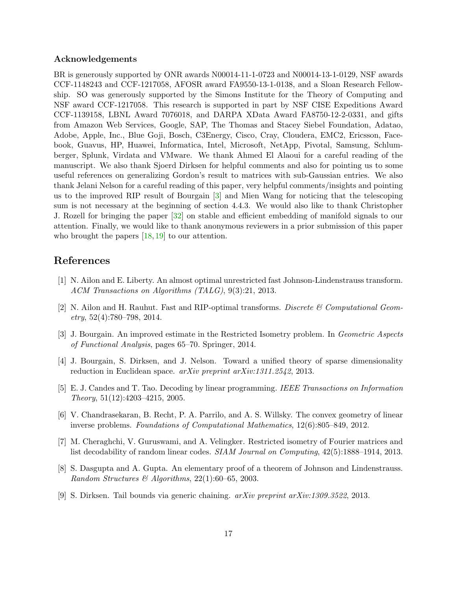## Acknowledgements

BR is generously supported by ONR awards N00014-11-1-0723 and N00014-13-1-0129, NSF awards CCF-1148243 and CCF-1217058, AFOSR award FA9550-13-1-0138, and a Sloan Research Fellowship. SO was generously supported by the Simons Institute for the Theory of Computing and NSF award CCF-1217058. This research is supported in part by NSF CISE Expeditions Award CCF-1139158, LBNL Award 7076018, and DARPA XData Award FA8750-12-2-0331, and gifts from Amazon Web Services, Google, SAP, The Thomas and Stacey Siebel Foundation, Adatao, Adobe, Apple, Inc., Blue Goji, Bosch, C3Energy, Cisco, Cray, Cloudera, EMC2, Ericsson, Facebook, Guavus, HP, Huawei, Informatica, Intel, Microsoft, NetApp, Pivotal, Samsung, Schlumberger, Splunk, Virdata and VMware. We thank Ahmed El Alaoui for a careful reading of the manuscript. We also thank Sjoerd Dirksen for helpful comments and also for pointing us to some useful references on generalizing Gordon's result to matrices with sub-Gaussian entries. We also thank Jelani Nelson for a careful reading of this paper, very helpful comments/insights and pointing us to the improved RIP result of Bourgain [\[3\]](#page-16-7) and Mien Wang for noticing that the telescoping sum is not necessary at the beginning of section 4.4.3. We would also like to thank Christopher J. Rozell for bringing the paper [\[32\]](#page-18-2) on stable and efficient embedding of manifold signals to our attention. Finally, we would like to thank anonymous reviewers in a prior submission of this paper who brought the papers [\[18,](#page-17-8) [19\]](#page-17-9) to our attention.

# References

- <span id="page-16-1"></span>[1] N. Ailon and E. Liberty. An almost optimal unrestricted fast Johnson-Lindenstrauss transform. ACM Transactions on Algorithms (TALG), 9(3):21, 2013.
- <span id="page-16-2"></span>[2] N. Ailon and H. Rauhut. Fast and RIP-optimal transforms. Discrete & Computational Geom- $\text{etry}, 52(4):780-798, 2014.$
- <span id="page-16-7"></span>[3] J. Bourgain. An improved estimate in the Restricted Isometry problem. In Geometric Aspects of Functional Analysis, pages 65–70. Springer, 2014.
- <span id="page-16-3"></span>[4] J. Bourgain, S. Dirksen, and J. Nelson. Toward a unified theory of sparse dimensionality reduction in Euclidean space. *arXiv preprint arXiv:1311.2542*, 2013.
- <span id="page-16-4"></span>[5] E. J. Candes and T. Tao. Decoding by linear programming. IEEE Transactions on Information  $Theory, 51(12):4203-4215, 2005.$
- <span id="page-16-8"></span>[6] V. Chandrasekaran, B. Recht, P. A. Parrilo, and A. S. Willsky. The convex geometry of linear inverse problems. Foundations of Computational Mathematics, 12(6):805–849, 2012.
- <span id="page-16-5"></span>[7] M. Cheraghchi, V. Guruswami, and A. Velingker. Restricted isometry of Fourier matrices and list decodability of random linear codes. SIAM Journal on Computing, 42(5):1888–1914, 2013.
- <span id="page-16-0"></span>[8] S. Dasgupta and A. Gupta. An elementary proof of a theorem of Johnson and Lindenstrauss. Random Structures & Algorithms,  $22(1):60-65$ ,  $2003$ .
- <span id="page-16-6"></span>[9] S. Dirksen. Tail bounds via generic chaining. arXiv preprint arXiv:1309.3522, 2013.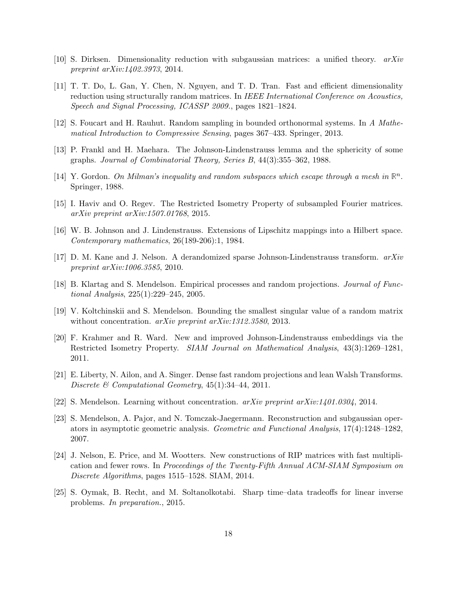- <span id="page-17-12"></span>[10] S. Dirksen. Dimensionality reduction with subgaussian matrices: a unified theory. arXiv preprint arXiv:1402.3973, 2014.
- <span id="page-17-2"></span>[11] T. T. Do, L. Gan, Y. Chen, N. Nguyen, and T. D. Tran. Fast and efficient dimensionality reduction using structurally random matrices. In IEEE International Conference on Acoustics, Speech and Signal Processing, ICASSP 2009., pages 1821–1824.
- <span id="page-17-14"></span>[12] S. Foucart and H. Rauhut. Random sampling in bounded orthonormal systems. In A Mathematical Introduction to Compressive Sensing, pages 367–433. Springer, 2013.
- <span id="page-17-1"></span>[13] P. Frankl and H. Maehara. The Johnson-Lindenstrauss lemma and the sphericity of some graphs. Journal of Combinatorial Theory, Series B, 44(3):355–362, 1988.
- <span id="page-17-7"></span>[14] Y. Gordon. On Milman's inequality and random subspaces which escape through a mesh in  $\mathbb{R}^n$ . Springer, 1988.
- <span id="page-17-15"></span>[15] I. Haviv and O. Regev. The Restricted Isometry Property of subsampled Fourier matrices. arXiv preprint arXiv:1507.01768, 2015.
- <span id="page-17-0"></span>[16] W. B. Johnson and J. Lindenstrauss. Extensions of Lipschitz mappings into a Hilbert space. Contemporary mathematics, 26(189-206):1, 1984.
- <span id="page-17-3"></span>[17] D. M. Kane and J. Nelson. A derandomized sparse Johnson-Lindenstrauss transform. arXiv preprint arXiv:1006.3585, 2010.
- <span id="page-17-8"></span>[18] B. Klartag and S. Mendelson. Empirical processes and random projections. Journal of Functional Analysis, 225(1):229–245, 2005.
- <span id="page-17-9"></span>[19] V. Koltchinskii and S. Mendelson. Bounding the smallest singular value of a random matrix without concentration. *arXiv preprint arXiv:1312.3580*, 2013.
- <span id="page-17-4"></span>[20] F. Krahmer and R. Ward. New and improved Johnson-Lindenstrauss embeddings via the Restricted Isometry Property. SIAM Journal on Mathematical Analysis, 43(3):1269–1281, 2011.
- <span id="page-17-5"></span>[21] E. Liberty, N. Ailon, and A. Singer. Dense fast random projections and lean Walsh Transforms. Discrete & Computational Geometry,  $45(1):34-44$ , 2011.
- <span id="page-17-10"></span>[22] S. Mendelson. Learning without concentration.  $arXiv$  preprint  $arXiv:1401.0304$ , 2014.
- <span id="page-17-11"></span>[23] S. Mendelson, A. Pajor, and N. Tomczak-Jaegermann. Reconstruction and subgaussian operators in asymptotic geometric analysis. Geometric and Functional Analysis, 17(4):1248–1282, 2007.
- <span id="page-17-6"></span>[24] J. Nelson, E. Price, and M. Wootters. New constructions of RIP matrices with fast multiplication and fewer rows. In Proceedings of the Twenty-Fifth Annual ACM-SIAM Symposium on Discrete Algorithms, pages 1515–1528. SIAM, 2014.
- <span id="page-17-13"></span>[25] S. Oymak, B. Recht, and M. Soltanolkotabi. Sharp time–data tradeoffs for linear inverse problems. In preparation., 2015.